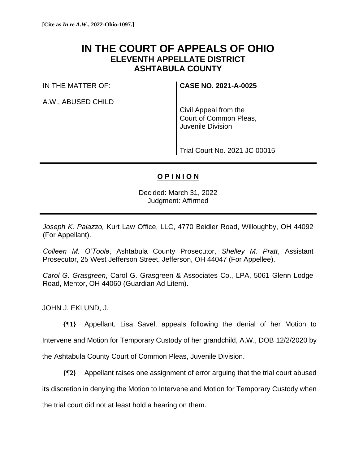## **IN THE COURT OF APPEALS OF OHIO ELEVENTH APPELLATE DISTRICT ASHTABULA COUNTY**

IN THE MATTER OF:

A.W., ABUSED CHILD

**CASE NO. 2021-A-0025**

Civil Appeal from the Court of Common Pleas, Juvenile Division

Trial Court No. 2021 JC 00015

## **O P I N I O N**

Decided: March 31, 2022 Judgment: Affirmed

*Joseph K. Palazzo,* Kurt Law Office, LLC, 4770 Beidler Road, Willoughby, OH 44092 (For Appellant).

*Colleen M. O'Toole*, Ashtabula County Prosecutor, *Shelley M. Pratt*, Assistant Prosecutor, 25 West Jefferson Street, Jefferson, OH 44047 (For Appellee).

*Carol G. Grasgreen*, Carol G. Grasgreen & Associates Co., LPA, 5061 Glenn Lodge Road, Mentor, OH 44060 (Guardian Ad Litem).

JOHN J. EKLUND, J.

**{¶1}** Appellant, Lisa Savel, appeals following the denial of her Motion to Intervene and Motion for Temporary Custody of her grandchild, A.W., DOB 12/2/2020 by the Ashtabula County Court of Common Pleas, Juvenile Division.

**{¶2}** Appellant raises one assignment of error arguing that the trial court abused its discretion in denying the Motion to Intervene and Motion for Temporary Custody when the trial court did not at least hold a hearing on them.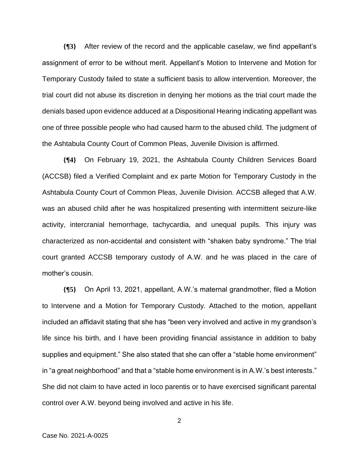**{¶3}** After review of the record and the applicable caselaw, we find appellant's assignment of error to be without merit. Appellant's Motion to Intervene and Motion for Temporary Custody failed to state a sufficient basis to allow intervention. Moreover, the trial court did not abuse its discretion in denying her motions as the trial court made the denials based upon evidence adduced at a Dispositional Hearing indicating appellant was one of three possible people who had caused harm to the abused child. The judgment of the Ashtabula County Court of Common Pleas, Juvenile Division is affirmed.

**{¶4}** On February 19, 2021, the Ashtabula County Children Services Board (ACCSB) filed a Verified Complaint and ex parte Motion for Temporary Custody in the Ashtabula County Court of Common Pleas, Juvenile Division. ACCSB alleged that A.W. was an abused child after he was hospitalized presenting with intermittent seizure-like activity, intercranial hemorrhage, tachycardia, and unequal pupils. This injury was characterized as non-accidental and consistent with "shaken baby syndrome." The trial court granted ACCSB temporary custody of A.W. and he was placed in the care of mother's cousin.

**{¶5}** On April 13, 2021, appellant, A.W.'s maternal grandmother, filed a Motion to Intervene and a Motion for Temporary Custody. Attached to the motion, appellant included an affidavit stating that she has "been very involved and active in my grandson's life since his birth, and I have been providing financial assistance in addition to baby supplies and equipment." She also stated that she can offer a "stable home environment" in "a great neighborhood" and that a "stable home environment is in A.W.'s best interests." She did not claim to have acted in loco parentis or to have exercised significant parental control over A.W. beyond being involved and active in his life.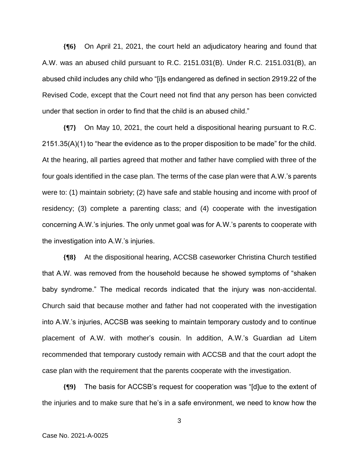**{¶6}** On April 21, 2021, the court held an adjudicatory hearing and found that A.W. was an abused child pursuant to R.C. 2151.031(B). Under R.C. 2151.031(B), an abused child includes any child who "[i]s endangered as defined in section 2919.22 of the Revised Code, except that the Court need not find that any person has been convicted under that section in order to find that the child is an abused child."

**{¶7}** On May 10, 2021, the court held a dispositional hearing pursuant to R.C. 2151.35(A)(1) to "hear the evidence as to the proper disposition to be made" for the child. At the hearing, all parties agreed that mother and father have complied with three of the four goals identified in the case plan. The terms of the case plan were that A.W.'s parents were to: (1) maintain sobriety; (2) have safe and stable housing and income with proof of residency; (3) complete a parenting class; and (4) cooperate with the investigation concerning A.W.'s injuries. The only unmet goal was for A.W.'s parents to cooperate with the investigation into A.W.'s injuries.

**{¶8}** At the dispositional hearing, ACCSB caseworker Christina Church testified that A.W. was removed from the household because he showed symptoms of "shaken baby syndrome." The medical records indicated that the injury was non-accidental. Church said that because mother and father had not cooperated with the investigation into A.W.'s injuries, ACCSB was seeking to maintain temporary custody and to continue placement of A.W. with mother's cousin. In addition, A.W.'s Guardian ad Litem recommended that temporary custody remain with ACCSB and that the court adopt the case plan with the requirement that the parents cooperate with the investigation.

**{¶9}** The basis for ACCSB's request for cooperation was "[d]ue to the extent of the injuries and to make sure that he's in a safe environment, we need to know how the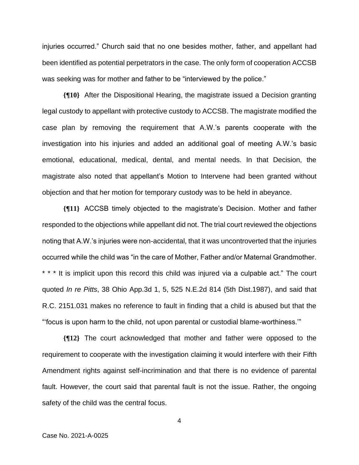injuries occurred." Church said that no one besides mother, father, and appellant had been identified as potential perpetrators in the case. The only form of cooperation ACCSB was seeking was for mother and father to be "interviewed by the police."

**{¶10}** After the Dispositional Hearing, the magistrate issued a Decision granting legal custody to appellant with protective custody to ACCSB. The magistrate modified the case plan by removing the requirement that A.W.'s parents cooperate with the investigation into his injuries and added an additional goal of meeting A.W.'s basic emotional, educational, medical, dental, and mental needs. In that Decision, the magistrate also noted that appellant's Motion to Intervene had been granted without objection and that her motion for temporary custody was to be held in abeyance.

**{¶11}** ACCSB timely objected to the magistrate's Decision. Mother and father responded to the objections while appellant did not. The trial court reviewed the objections noting that A.W.'s injuries were non-accidental, that it was uncontroverted that the injuries occurred while the child was "in the care of Mother, Father and/or Maternal Grandmother. \* \* \* It is implicit upon this record this child was injured via a culpable act." The court quoted *In re Pitts*, 38 Ohio App.3d 1, 5, 525 N.E.2d 814 (5th Dist.1987), and said that R.C. 2151.031 makes no reference to fault in finding that a child is abused but that the "'focus is upon harm to the child, not upon parental or custodial blame-worthiness.'"

**{¶12}** The court acknowledged that mother and father were opposed to the requirement to cooperate with the investigation claiming it would interfere with their Fifth Amendment rights against self-incrimination and that there is no evidence of parental fault. However, the court said that parental fault is not the issue. Rather, the ongoing safety of the child was the central focus.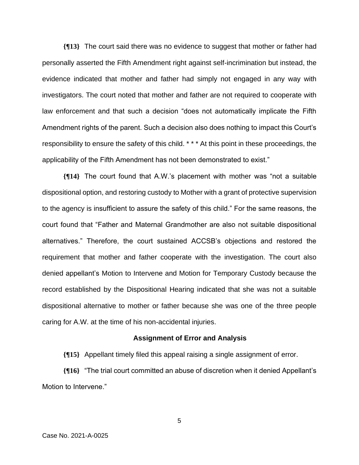**{¶13}** The court said there was no evidence to suggest that mother or father had personally asserted the Fifth Amendment right against self-incrimination but instead, the evidence indicated that mother and father had simply not engaged in any way with investigators. The court noted that mother and father are not required to cooperate with law enforcement and that such a decision "does not automatically implicate the Fifth Amendment rights of the parent. Such a decision also does nothing to impact this Court's responsibility to ensure the safety of this child. \* \* \* At this point in these proceedings, the applicability of the Fifth Amendment has not been demonstrated to exist."

**{¶14}** The court found that A.W.'s placement with mother was "not a suitable dispositional option, and restoring custody to Mother with a grant of protective supervision to the agency is insufficient to assure the safety of this child." For the same reasons, the court found that "Father and Maternal Grandmother are also not suitable dispositional alternatives." Therefore, the court sustained ACCSB's objections and restored the requirement that mother and father cooperate with the investigation. The court also denied appellant's Motion to Intervene and Motion for Temporary Custody because the record established by the Dispositional Hearing indicated that she was not a suitable dispositional alternative to mother or father because she was one of the three people caring for A.W. at the time of his non-accidental injuries.

## **Assignment of Error and Analysis**

**{¶15}** Appellant timely filed this appeal raising a single assignment of error.

**{¶16}** "The trial court committed an abuse of discretion when it denied Appellant's Motion to Intervene."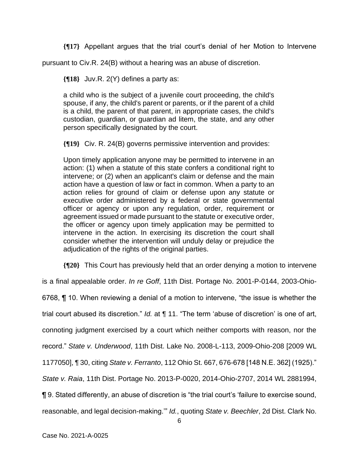**{¶17}** Appellant argues that the trial court's denial of her Motion to Intervene

pursuant to Civ.R. 24(B) without a hearing was an abuse of discretion.

**{¶18}** Juv.R. 2(Y) defines a party as:

a child who is the subject of a juvenile court proceeding, the child's spouse, if any, the child's parent or parents, or if the parent of a child is a child, the parent of that parent, in appropriate cases, the child's custodian, guardian, or guardian ad litem, the state, and any other person specifically designated by the court.

**{¶19}** Civ. R. 24(B) governs permissive intervention and provides:

Upon timely application anyone may be permitted to intervene in an action: (1) when a statute of this state confers a conditional right to intervene; or (2) when an applicant's claim or defense and the main action have a question of law or fact in common. When a party to an action relies for ground of claim or defense upon any statute or executive order administered by a federal or state governmental officer or agency or upon any regulation, order, requirement or agreement issued or made pursuant to the statute or executive order, the officer or agency upon timely application may be permitted to intervene in the action. In exercising its discretion the court shall consider whether the intervention will unduly delay or prejudice the adjudication of the rights of the original parties.

**{¶20}** This Court has previously held that an order denying a motion to intervene

is a final appealable order. *In re Goff*, 11th Dist. Portage No. 2001-P-0144, 2003-Ohio-

6768, ¶ 10. When reviewing a denial of a motion to intervene, "the issue is whether the

trial court abused its discretion." *Id.* at ¶ 11. "The term 'abuse of discretion' is one of art,

connoting judgment exercised by a court which neither comports with reason, nor the

record." *State v. Underwood*, 11th Dist. Lake No. 2008-L-113, 2009-Ohio-208 [2009 WL

1177050], ¶ 30, citing *State v. Ferranto*, 112 Ohio St. 667, 676-678 [148 N.E. 362] (1925)."

*State v. Raia*, 11th Dist. Portage No. 2013-P-0020, 2014-Ohio-2707, 2014 WL 2881994,

¶ 9. Stated differently, an abuse of discretion is "the trial court's 'failure to exercise sound,

reasonable, and legal decision-making.'" *Id.*, quoting *State v. Beechler*, 2d Dist. Clark No.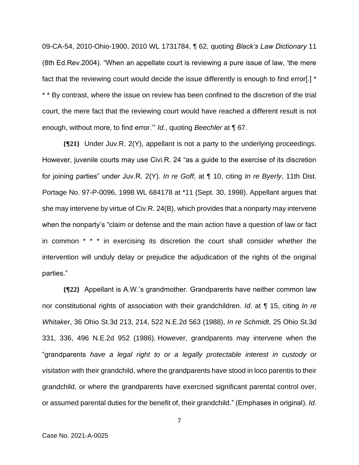09-CA-54, 2010-Ohio-1900, 2010 WL 1731784, ¶ 62, quoting *Black's Law Dictionary* 11 (8th Ed.Rev.2004). "When an appellate court is reviewing a pure issue of law, 'the mere fact that the reviewing court would decide the issue differently is enough to find error.] \* \* \* By contrast, where the issue on review has been confined to the discretion of the trial court, the mere fact that the reviewing court would have reached a different result is not enough, without more, to find error.'" *Id.*, quoting *Beechler* at ¶ 67.

**{¶21}** Under Juv.R. 2(Y), appellant is not a party to the underlying proceedings. However, juvenile courts may use Civi.R. 24 "as a guide to the exercise of its discretion for joining parties" under Juv.R. 2(Y). *In re Goff*, at ¶ 10, citing *In re Byerly*, 11th Dist. Portage No. 97-P-0096, 1998 WL 684178 at \*11 (Sept. 30, 1998). Appellant argues that she may intervene by virtue of Civ.R. 24(B), which provides that a nonparty may intervene when the nonparty's "claim or defense and the main action have a question of law or fact in common \* \* \* in exercising its discretion the court shall consider whether the intervention will unduly delay or prejudice the adjudication of the rights of the original parties."

**{¶22}** Appellant is A.W.'s grandmother. Grandparents have neither common law nor constitutional rights of association with their grandchildren. *Id*. at ¶ 15, citing *In re Whitaker*, 36 Ohio St.3d 213, 214, 522 N.E.2d 563 (1988), *In re Schmidt*, 25 Ohio St.3d 331, 336, 496 N.E.2d 952 (1986). However, grandparents may intervene when the "grandparents *have a legal right to or a legally protectable interest in custody or visitation* with their grandchild, where the grandparents have stood in loco parentis to their grandchild, or where the grandparents have exercised significant parental control over, or assumed parental duties for the benefit of, their grandchild." (Emphases in original). *Id.*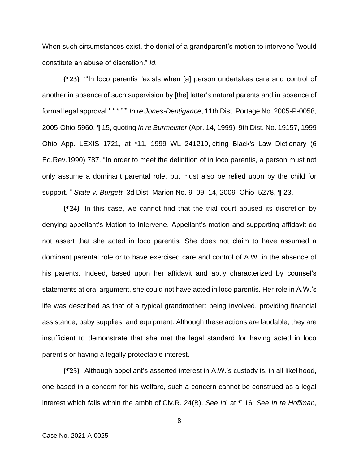When such circumstances exist, the denial of a grandparent's motion to intervene "would constitute an abuse of discretion." *Id.*

**{¶23}** "'In loco parentis "exists when [a] person undertakes care and control of another in absence of such supervision by [the] latter's natural parents and in absence of formal legal approval \* \* \*."'" *In re Jones-Dentigance*, 11th Dist. Portage No. 2005-P-0058, 2005-Ohio-5960, ¶ 15, quoting *In re Burmeister* (Apr. 14, 1999), 9th Dist. No. 19157, 1999 Ohio App. LEXIS 1721, at \*11, 1999 WL 241219, citing Black's Law Dictionary (6 Ed.Rev.1990) 787. "In order to meet the definition of in loco parentis, a person must not only assume a dominant parental role, but must also be relied upon by the child for support. " *State v. Burgett,* 3d Dist. Marion No. 9–09–14, 2009–Ohio–5278, ¶ 23.

**{¶24}** In this case, we cannot find that the trial court abused its discretion by denying appellant's Motion to Intervene. Appellant's motion and supporting affidavit do not assert that she acted in loco parentis. She does not claim to have assumed a dominant parental role or to have exercised care and control of A.W. in the absence of his parents. Indeed, based upon her affidavit and aptly characterized by counsel's statements at oral argument, she could not have acted in loco parentis. Her role in A.W.'s life was described as that of a typical grandmother: being involved, providing financial assistance, baby supplies, and equipment. Although these actions are laudable, they are insufficient to demonstrate that she met the legal standard for having acted in loco parentis or having a legally protectable interest.

**{¶25}** Although appellant's asserted interest in A.W.'s custody is, in all likelihood, one based in a concern for his welfare, such a concern cannot be construed as a legal interest which falls within the ambit of Civ.R. 24(B). *See Id.* at ¶ 16; *See In re Hoffman*,